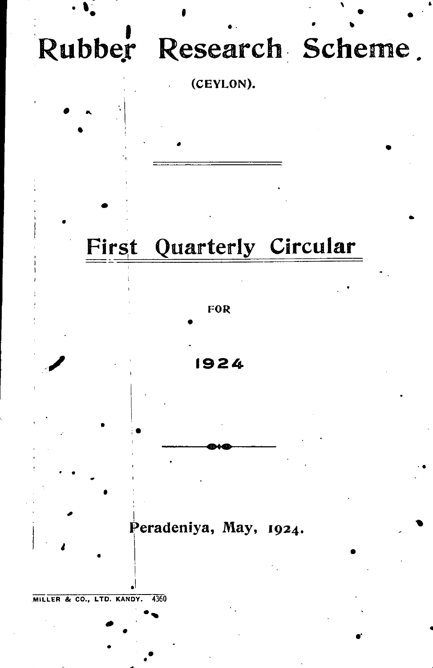

# First Quarterly Circular







**Peradeniya, May, 1924 .** 

**MILLE R & CO. , LTD . KANDY . 4360** 

*4* **1**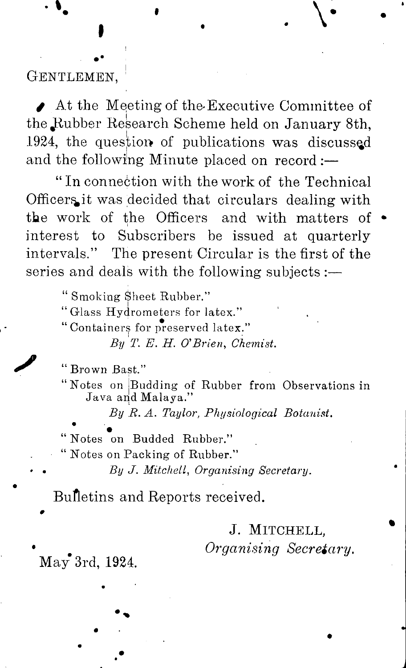## **GENTLEMEN,**

 $\blacktriangleright$  At the Meeting of the Executive Committee of the Rubber Research Scheme held on January 8th, 1924, the question of publications was discussed and the following Minute placed on record :-

" In connection with the work of the Technical Officers it was decided that circulars dealing with the work of the Officers and with matters of  $\bullet$ interest to Subscribers be issued at quarterly intervals." The present Circular is the first of the series and deals with the following subjects :—

**" Smoking Sheet Rubber."** 

**''Glass Hydrometers for latex."** 

**" Containers for preserved latex."** 

*By T. E. H. O'Brien, Chemist.* 

"Brown Bast."

**/** 

**"** Brown Bastle Bast **"Notes on |Budding of Rubber from Observations in Java and Malaya."** 

*By R. A. Taylor, Physiological Botanist.* 

**" Notes on Budded Rubber."** 

**" Notes on Packing of Rubber."** 

*' • By J. Mitchell, Organising Secretary.* 

Bulletins and Reports received.

# J. **MITCHELL,**

*<i><u>Organising</u>* Secretary.

 $\text{Mav}^{\bullet}$  3rd, 1924.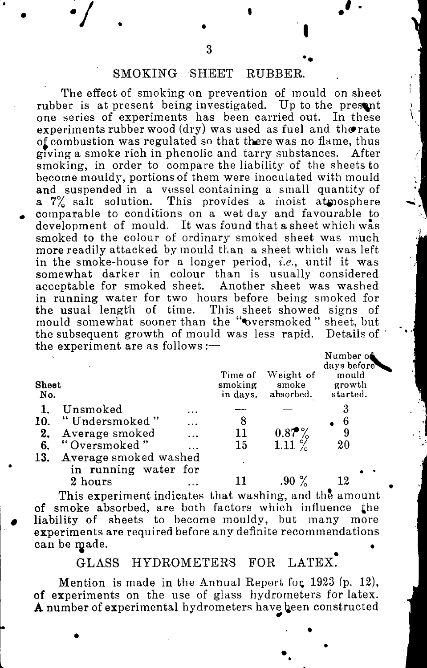### **SMOKING SHEET RUBBER.**

**The effect of smoking on prevention of mould on sheet rubber is at present being investigated. Up to the present one series of experiments has been carried out. In these experiments rubber wood (dry) was used as fuel and tho rate o£ combustion was regulated so that there was no flame, thus giving a smoke rich in phenolic and tarry substances. After smoking, in order to compare the liability of the sheets to become mouldy, portions of them were inoculated with mould and suspended in a vessel containing a small quantity of a 7% salt solution. This provides a inoist atmosphere comparable to conditions on a wet day and favourable to development of mould. It was found that a sheet which was smoked to the colour of ordinary smoked sheet was much more readily attacked by mould than a sheet which was left**  in the smoke-house for a longer period, *i.e.*, until it was somewhat darker in colour than is usually considered **acceptable for smoked sheet. Another sheet was washed in running water for two hours before being smoked for the usual length of time. This sheet showed signs of**  mould somewhat sooner than the "oversmoked" sheet, but the subsequent growth of mould was less rapid. Details of **the experiment are as follows :—** 

| <b>Sheet</b><br>No. |                       |          | Time of<br>smoking<br>in days. | Weight of<br>smoke<br>absorbed. | Number o <b>ë</b><br>days before<br>mould<br>growth<br>started. |
|---------------------|-----------------------|----------|--------------------------------|---------------------------------|-----------------------------------------------------------------|
|                     | Unsmoked              |          |                                |                                 |                                                                 |
| 10.                 | "Undersmoked"         | .        | 8                              |                                 | 6                                                               |
| 2.                  | Average smoked        | $\cdots$ | 11                             | $0.87\%$                        |                                                                 |
| 6.                  | "Oversmoked"          |          | 15                             | $1.11\%$                        | 20                                                              |
| 13.                 | Average smoked washed |          |                                |                                 |                                                                 |
|                     | in running water for  |          |                                |                                 |                                                                 |
|                     | 2 hours               |          |                                |                                 | 12                                                              |

**This experiment indicates that washing, and the amount of smoke absorbed, are both factors which influence £he liability of sheets to become mouldy, but many more experiments are required before any definite recommendations can be made. •** 

### GLASS HYDROMETERS FOR LATEX.

**Mention** is made in the Annual Report for 1923 (p. 12), **of experiments on the use of glass hydrometers for latex.**  A number of experimental hydrometers have been constructed

 $\sqrt{2}$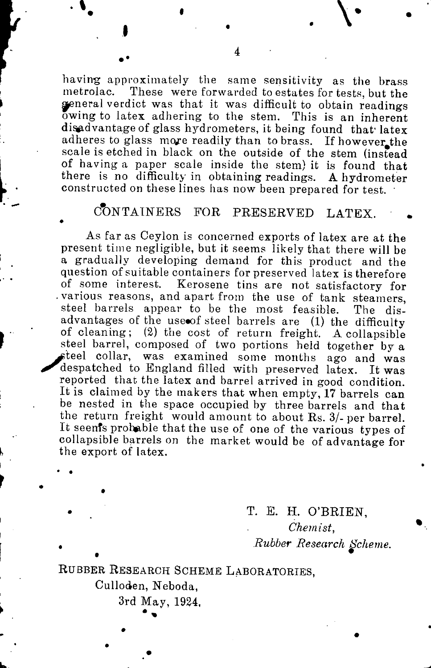**having approximately the same sensitivity as the brass metrolac. These were forwarded to estates for tests, but the general verdict was that it was difficult to obtain readings owing to latex adhering to the stem. This is an inherent disadvantage of glass hydrometers, it being found that' latex**  adheres to glass more readily than to brass. If however the **scale is etched in black on the outside of the stem (instead of having a paper scale inside the stem) it is found that there is no difficulty in obtaining readings. A hydrometer constructed on these lines has now been prepared for test.** 

# **CONTAINERS FOR PRESERVED LATEX.**

**As far as Ceylon is concerned exports of latex are at the present time negligible, but it seems likely that there will be a gradually developing demand for this product and the question of suitable containers for preserved latex is therefore of some interest. Kerosene tins are not satisfactory for .various reasons, and apart from the use of tank steamers, steel barrels appear to be the most feasible. The disadvantages of the use«of steel barrels are (1 ) the difficulty of cleaning; (2 ) the cost of return freight. A collapsible steel barrel, composed of two portions held together by a ^pteel collar, was examined some months ago and was**  despatched to England filled with preserved latex. It was **reported that the latex and barrel arrived in good condition. It is claimed by the makers that when empty, 17 barrels can be nested in the space occupied by three barrels and that the return freight would amount to about Rs. 3/-per barrel.**  It seen's probable that the use of one of the various types of **collapsible barrels on the market would be of advantage for the export of latex.** 

> **T. E. H. O'BRIEN,**  *Chemist, Rubber Research Scheme.*

**RUBBE R RESEARC H SCHEM E LABORATORIES ,** 

**Culloden, Neboda,** 

**3rd May, 1924 ,**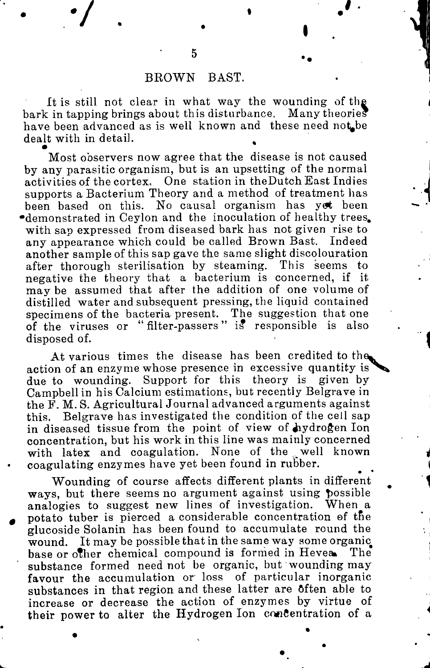### **BROWN BAST.**

**It is still not clear in what way the wounding of the bark in tapping brings about this disturbance. Many theories**  have been advanced as is well known and these need not be **dealt with in detail. •** 

**Most observers now agree that the disease is not caused by any parasitic organism, but is an upsetting of the normal activities of the cortex. One station in theDutch East Indies supports a Bacterium Theory and a method of treatment has been based on this. No causal organism has yet been •demonstrated in Ceylon and the inoculation of healthy trees, with sap expressed from diseased bark has not given rise to any appearance which could be called Brown Bast. Indeed another sample of this sap gave the same slight discolouration**  after thorough sterilisation by steaming. This seems to **negative the theory that a bacterium is concerned, if it may be assumed that after the addition of one volume of distilled water and subsequent pressing, the liquid contained specimens of the bacteria present. The suggestion that one of the viruses or " filter-passers"** *ii* **responsible is also disposed of.** 

**At various times the disease has been credited to the^ action of an enzyme whose presence in excessive quantity is due to wounding. Support for this theory is given by Campbell in his Calcium estimations, but recently Belgrave in the F. M. S. Agricultural Journal advanced arguments against this. Belgrave has investigated the condition of the cell sap**  in diseased tissue from the point of view of hydrogen Ion **concentration, but his work in this line was mainly concerned**  with latex and coagulation. None of the well known **coagulating enzymes have yet been found in rubber.** 

**Wounding of course affects different plants in different ways, but there seems no argument against using possible analogies to suggest new lines of investigation. When a potato tuber is pierced a considerable concentration of tfie glucoside Solanin has been found to accumulate round the wound. It may be possible that in the same way some organic**  base or other chemical compound is formed in Hevea. The **substance formed need not be organic, but wounding may favour the accumulation or loss of particular inorganic substances in that region and these latter are often able to increase or decrease the action of enzymes by virtue of their power to alter the Hydrogen Ion concentration of a**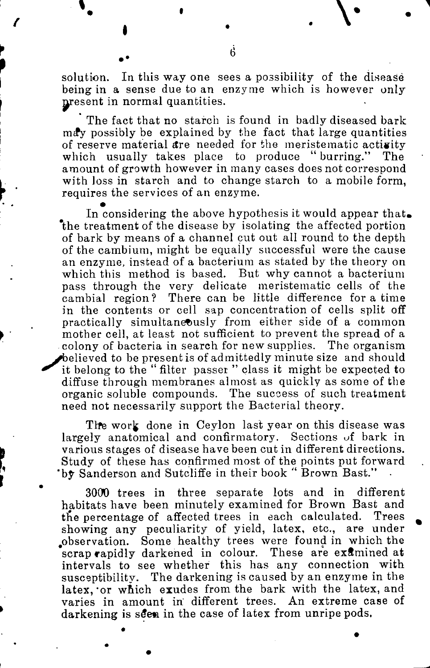**solution. In this way one sees a possibility of the disease being in a sense due to an enzyme which is however only**  present in normal quantities.

**The fact that no starch is found in badly diseased bark ma\*y possibly be explained by the fact that large quantities**  of reserve material are needed for the meristematic activity **which usually takes place to produce " burring." The amount of growth however in many cases does not correspond with loss in starch and to change starch to a mobile form, requires the services of an enzyme. •** 

**In considering the above hypothesis it would appear that, 'the treatment of the disease by isolating the affected portion of bark by means of a channel cut out all round to the depth of the cambium, might be equally successful were the cause an enzyme, instead of a bacterium as stated by the theory on which this method is based. But why cannot a bacterium pass through the very delicate meristematic cells of the cambial region? There can be little difference for a time in the contents or cell sap concentration of cells split off practically simultaneously from either side of a common mother cell, at least not sufficient to prevent the spread of a colony of bacteria in search for new supplies. The organism believed to be present is of admittedly minute size and should** it belong to the "filter passer" class it might be expected to **diffuse through membranes almost as quickly as some of the organic soluble compounds. The success of such treatment need not necessarily support the Bacterial theory.** 

The work done in Ceylon last year on this disease was **largely anatomical and confirmatory. Sections** *of* **bark in various stages of disease have been cut in different directions. Study of these has confirmed most of the points put forward 'by Sanderson and Sutcliffe in their book " Brown Bast." •** 

**3000 trees in three separate lots and in different habitats have been minutely examined for Brown Bast and tne percentage of affected trees in each calculated. Trees showing any peculiarity of yield, latex, etc., are under .observation. Some healthy trees were found in which the scrap rapidly darkened in colour. These are examined at intervals to see whether this has any connection with susceptibility. The darkening is caused by an enzyme in the**  latex, or which exudes from the bark with the latex, and **varies in amount in different trees. An extreme case of**  darkening is seen in the case of latex from unripe pods.

**6** 

**.** *\* 

*m*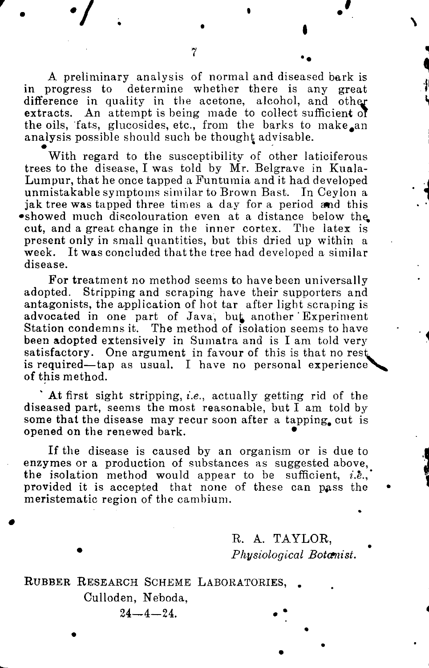**A preliminary analysis of normal and diseased bark is in progress to determine whether there is any great**  difference in quality in the acetone, alcohol, and other **extracts. An attempt is being made to collect sufficient oi**  the oils, fats, glucosides, etc., from the barks to make an **analysis possible should such be thought advisable.** 

**With regard to the susceptibility of other laticiferous trees to the disease, I was told by Mr. Belgrave in Kuala-Lumpur, that he once tapped a Funtumia and it had developed unmistakable symptoms similar to Brown Bast. In Ceylon a jak tree was tapped three times a day for a period and this •showed much discolouration even at a distance below the, cut, and a great change in the inner cortex. The latex is present only in small quantities, but this dried up within a week. It was concluded that the tree had developed a similar disease.** 

**For treatment no method seems to have been universally adopted. Stripping and scraping have their supporters and antagonists, the application of hot tar after light scraping is**  advocated in one part of Java, but another Experiment **Station condemns it. The method of isolation seems to have been adopted extensively in Sumatra and is I am told very satisfactory. One argument in favour of this is that no rest is required—tap as usual. I have no personal experience of this method.** 

**At first sight stripping,** *i.e.,* **actually getting rid of the diseased part, seems the most reasonable, but I am told by some that the disease may recur soon after a tapping, cut is opened on the renewed bark. •** 

**If the disease is caused by an organism or is due to enzymes or a production of substances as suggested above, the isolation method would appear to be sufficient,** *i.e.,'*  provided it is accepted that none of these can pass the **meristematic region of the cambium.** 

> R . **A . TAYLOR ,**   $Physiological Bot$ <sub>amist</sub>.

**RUBBE R RESEARC H SCHEM E LABORATORIES , . Culloden, Neboda,**   $24 - 4 - 24$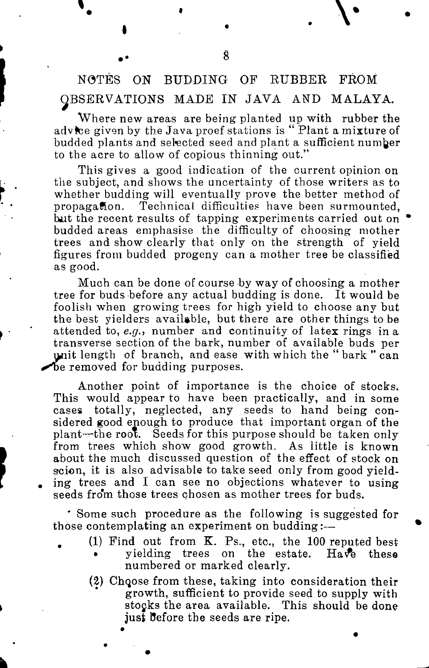# **NOTES ON BUDDING OF RUBBER FROM OBSERVATIONS MADE IN JAVA AND MALAYA.**

**Where new areas are being planted up with rubber the advtee given by the Java proef stations is " Plant a mixture of budded plants and selected seed and plant a sufficient number to the acre to allow of copious thinning out."** 

**This gives a good indication of the current opinion on the subject, and shows the uncertainty of those writers as to whether budding will eventually prove the better method of propagaflon. Technical difficulties have been surmounted,**  but the recent results of tapping experiments carried out on **budded areas emphasise the difficulty of choosing mother trees and show clearly that only on the strength of yield figures from budded progeny can a mother tree be classified as good.** 

**Much can be done of course by way of choosing a mother tree for buds before any actual budding is done. It would be foolish when growing trees for high yield to choose any but the best yielders available, but there are other things to be attended to,** *e.g.,* **number and continuity of latex rings in a transverse section of the bark, number of available buds per the** unit length of branch, and ease with which the " bark " can *»^be* **removed for budding purposes.** 

**Another point of importance is the choice of stocks. This would appear to have been practically, and in some cases totally, neglected, any seeds to hand being considered good enough to produce that important organ of the plant—the root. Seeds for this purpose should be taken only from trees which show good growth. As little is known about the much discussed question of the effect of stock on scion, it is also advisable to take seed only from good yield- . ing trees and I can see no objections whatever to using seeds from those trees chosen as mother trees for buds.** 

**' Some such procedure as the following is suggested for those contemplating an experiment on budding:—** 

- **. (1) Find out from K. Ps., etc., the 100 reputed best • yielding trees on the estate. Ha\fe these numbered or marked clearly.** 
	- **(2) Chqpse from these, taking into consideration their growth, sufficient to provide seed to supply with stocks the area available. This should be done just Before the seeds are ripe.**

**8**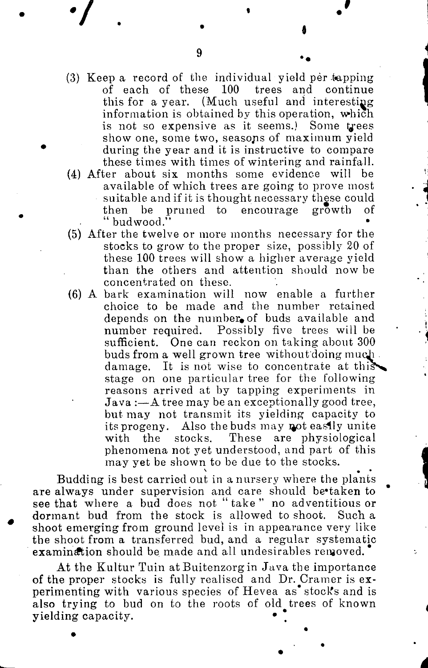- (3) Keep a record of the individual yield per tapping **of each of these 100 trees and continue this for a year. (Much useful and interesting information is obtained by this operation, which is not so expensive as it seems.) Some t^- ees show one, some two, seasons of maximum yield \* during the year and it is instructive to compare these times with times of wintering and rainfall.**
- **(4) After about six months some evidence will be available of which trees are going to prove most suitable and if it is thought necessary these could then be pruned to encourage growth of**  budwood.
- **(5) After the twelve or more months necessary for the stocks to grow to the proper size, possibly 20 of these 100 trees will show a higher average yield than the others and attention should now be concentrated on these.**
- **(6) A bark examination will now enable a further choice to be made and the number retained depends on the number, of buds available and number required. Possibly five trees will be sufficient. One can reckon on taking about 300**  buds from a well grown tree without doing much **damage. It is not wise to concentrate at this^ stage on one particular tree for the following reasons arrived at by tapping experiments in Java :—A tree may be an exceptionally good tree, but may not transmit its yielding capacity to**  its progeny. Also the buds may not easily unite **with the stocks. These are physiological phenomena not yet understood, and part of this may yet be shown to be due to the stocks.**

**Budding is best carried out in a nursery where the plants are always under supervision and care should be'taken to see that where a bud does not "take" no adventitious or dormant bud from the stock is allowed to shoot. Such a shoot emerging from ground level is in appearance very like the shoot from a transferred bud, and a regular systematic examination should be made and all undesirables removed.** 

**At the Kultur Tuin at Buitenzorgin Java the importance of the proper stocks is fully realised and Dr. Cramer is experimenting with various species of Hevea as\* stool's and is also trying to bud on to the roots of old trees of known yielding capacity. •**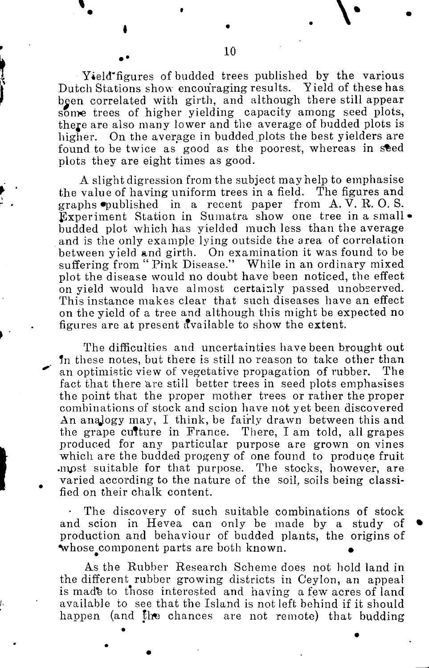**Yield'figures of budded trees published by the various Dutch Stations show encouraging results. Yield of these has been correlated with girth, and although there still appear some trees of higher yielding capacity among seed plots, there are also many lower and the average of budded plots is higher. On the average in budded plots the best yielders are**  found to be twice as good as the poorest, whereas in seed **plots they are eight times as good.** 

**A slight digression from the subject may help to emphasise the value of having uniform trees in a field. The figures and graphs "published in a recent paper from A. V. R. O. S. Experiment Station in Sumatra show one tree in a small • budded plot which has yielded much less than the average and is the only example lying outside the area of correlation between yield and girth. On examination it was found to be suffering from " Pink Disease." While in an ordinary mixed plot the disease would no doubt have been noticed, the effect on yield would have almost certainly passed unobserved. This instance makes clear that such diseases have an effect on the yield of a tree and although this might be expected no figures are at present Available to show the extent.** 

**The difficulties and uncertainties have been brought out Tn these notes, but there is still no reason to take other than an optimistic view of vegetative propagation of rubber. The fact that there are still better trees in seed plots emphasises the point that the proper mother trees or rather the proper combinations of stock and scion have not yet been discovered**  An analogy may, I think, be fairly drawn between this and **the grape culture in France. There, I am told, all grapes produced for any particular purpose are grown on vines**  which are the budded progeny of one found to produce fruit **.mpst suitable for that purpose. The stocks, however, are varied according to the nature of the soil, soils being classified on their chalk content.** 

**• The discovery of such suitable combinations of stock and scion in Hevea can only be made by a study of production and behaviour of budded plants, the origins of**  whose component parts are both known.

**As the Rubber Research Scheme does not hold land in the different rubber growing districts in Ceylon, an appeal is made to those interested and having a few acres of land available to see that the Island is not left behind if it should happen (and** *l\vs* **chances are not remote) that budding**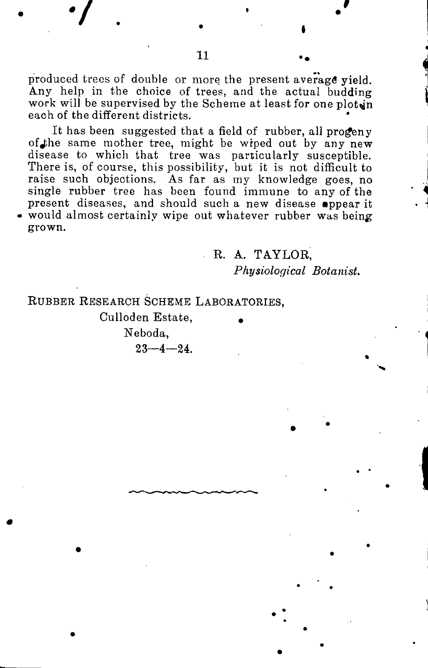produced trees of double or more the present average yield. **Amy help in the choice of trees, and the actual budding**  work will be supervised by the Scheme at least for one ploten **each of the different districts.** 

**It has been suggested that a field of rubber, all progeny**  of the same mother tree, might be wiped out by any new **disease to which that tree was particularly susceptible. There is, of course, this possibility, but it is not difficult to raise such objections. As far as my knowledge goes, no single rubber tree has been found immune to any of the present diseases, and should such a new disease appear it • would almost certainly wipe out whatever rubber was being grown.** 

**R. A. TAYLOR,** 

*Physiological Botanist.* 

**RUBBE R RESEARC H SCHEM E LABORATORIES ,** 

**Culloden Estate, • Neboda,**   $23 - 4 - 24$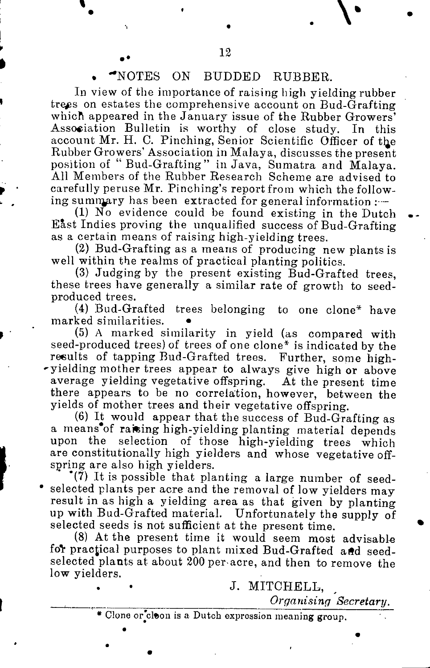#### **. -NOTES ON BUDDED BUBBER,**

**1** 

**In view of the importance of raising high yielding rubber**  trees on estates the comprehensive account on Bud-Grafting which appeared in the January issue of the Rubber Growers' **Association Bulletin is worthy of close study. In this**  account Mr. H. C. Pinching, Senior Scientific Officer of the **Rubber Growers' Association in Malaya, discusses the present position of "Bud-Grafting" in Java, Sumatra and Malaya. All Members of the Rubber Research Scheme are advised to carefully peruse Mr. Pinching's report from which the follow**ing summary has been extracted for general information :-

**(1) No evidence could be found existing in the Dutch East Indies proving the unqualified success of Bud-Grafting as a certain means of raising high-yielding trees.** 

**(2) Bud-Grafting as a means of producing new plants is well within the realms of practical planting politics.** 

**(3) Judging by the present existing Bud-Grafted trees, these trees have generally a similar rate of growth to seedproduced trees.** 

**(4) Bud-Grafted trees belonging to one clone\* have**  marked similarities.

**( 5 )** A **marked similarity in yield (as compared with seed-produced trees) of trees of one clone\* is indicated by the results of tapping Bud-Grafted trees. Further, some high- 'yielding mother trees appear to always give high or above average yielding vegetative offspring. At the present time there appears to be no correlation, however, between the yields of mother trees and their vegetative offspring.** 

**(6) It would appear that the success of Bud-Grafting as a means** of raising high-yielding planting material depends upon the selection of those high-yielding trees which selection of those high-yielding trees which **are constitutionally high yieiders and whose vegetative offspring are also high yieiders.** 

**\*(7) It is possible that planting a large number of seed- \* selected plants per acre and the removal of low yieiders may result in as high a yielding area as that given by planting up with Bud-Grafted material. Unfortunately the supply of**  selected seeds is not sufficient at the present time.

**(8) At the present time it would seem most advisable**  for practical purposes to plant mixed Bud-Grafted and seed**selected plants at about 200 per-acre, and then to remove the low yieiders.** 

**J. MITCHELL,** 

*Organising Secretary.* 

**\* Clone or'cleon is a Dutch expression meaning group.**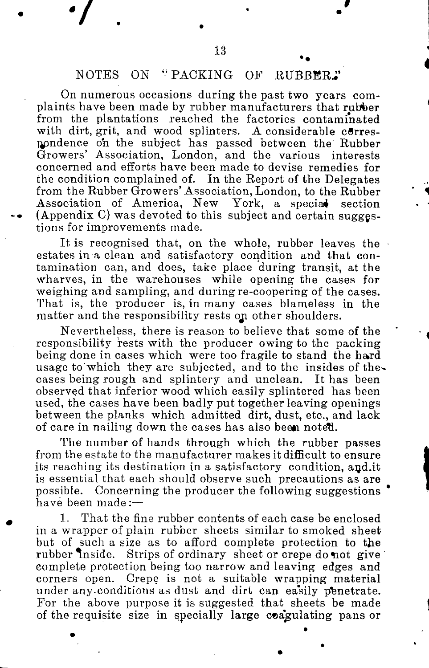### **NOTES ON "PACKING OF RUBBER.;'**

**On numerous occasions during the past two years complaints have been made by rubber manufacturers that rubber from the plantations reached the factories contaminated**  with dirt, grit, and wood splinters. A considerable corres**npndence oh the subject has passed between the Rubber Growers' Association, London, and the various interests concerned and efforts have been made to devise remedies for the condition complained of. In the Report of the Delegates from the Rubber Growers'Association, London, to the Rubber**  Association of America, New York, a special section **• (Appendix C) was devoted to this subject and certain suggestions for improvements made.** 

**It is recognised that, on the whole, rubber leaves the estates in a clean and satisfactory condition and that contamination can, and does, take place during transit, at the wharves, in the warehouses while opening the cases for weighing and sampling, and during re-coopering of the cases. That is, the producer is, in many cases blameless in the matter and the responsibility rests oji other shoulders.** 

**Nevertheless, there is reason to believe that some of the responsibility rests with the producer owing to the packing being done in cases which were too fragile to stand the hard usage to'which they are subjected, and to the insides of thecases being rough and splintery and unclean. It has been observed that inferior wood which easily splintered has been used, the cases have been badly put together leaving openings between the planks which admitted dirt, dust, etc., and lack of care in nailing down the cases has also been noteTJ.** 

**The number of hands through which the rubber passes from the estate to the manufacturer makes it difficult to ensure its reaching its destination in a satisfactory condition, [and.it](http://and.it) is essential that each should observe such precautions as are possible. Concerning the producer the following suggestions have been made :—** 

**<sup>1</sup> . That the fine rubber contents of each case be enclosed in a wrapper of plain rubber sheets similar to smoked sheet but of such a size as to afford complete protection to the**  Strips of ordinary sheet or crepe do not give **complete protection being too narrow and leaving edges and corners open. Crepe is not a suitable wrapping material under any-conditions as dust and dirt can easily penetrate. For the above purpose it is suggested that sheets be made**  of the requisite size in specially large coagulating pans or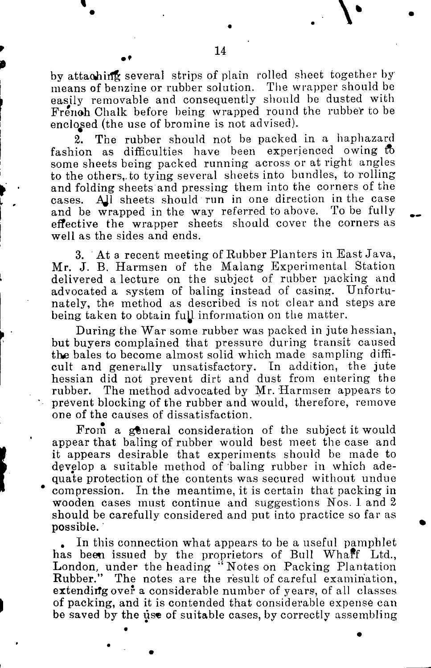by attaching several strips of plain rolled sheet together by **means of benzine or rubber solution. The wrapper should be easily removable and consequently should be dusted with Frenoh Chalk before being wrapped round the rubber to be enclosed (the use of bromine is not advised).** 

**2. The rubber should not be packed in a haphazard**  fashion as difficulties have been experienced owing to **some sheets being packed running across or at right angles to the others,.to tying several sheets into bundles, to rolling and folding sheets and pressing them into the corners of the cases. AJ.1 sheets should run in one direction in the case and be wrapped in the way referred to above. To be fully effective the wrapper sheets should cover the corners as well as the sides and ends.** 

**3. At a recent meeting of Rubber Planters in East Java, Mr. J. B. Harmsen of the Malang Experimental Station delivered a lecture on the subject of rubber packing and advocated a system of baling instead of casing. Unfortunately, the method as described is not clear and steps are**  being taken to obtain full information on the matter.

**During the War some rubber was packed in jute hessian, but buyers complained that pressure during transit caused the bales to become almost solid which made sampling difficult and generally unsatisfactory. In addition, the jute hessian did not prevent dirt and dust from entering the rubber. The method advocated by Mr. Harmsen appears to prevent blocking of the rubber and would, therefore, remove one of the causes of dissatisfaction.** 

**From a general consideration of the subject it would appear that baling of rubber would best meet the case and it appears desirable that experiments should be made to develop a suitable method of baling rubber in which adequate protection of the contents was secured without undue compression. In the meantime, it is certain that packing in wooden cases must continue and suggestions Nos. 1. and 2 should be carefully considered and put into practice so far as possible.** 

**. In this connection what appears to be a useful pamphlet has been issued by the proprietors of Bull Whaff Ltd.,**  London, under the heading "Notes on Packing Plantation **Rubber." The notes are the result of careful examination, extendiifg over a considerable number of years, of all classes of packing, and it is contended that considerable expense can**  be saved by the use of suitable cases, by correctly assembling

**1**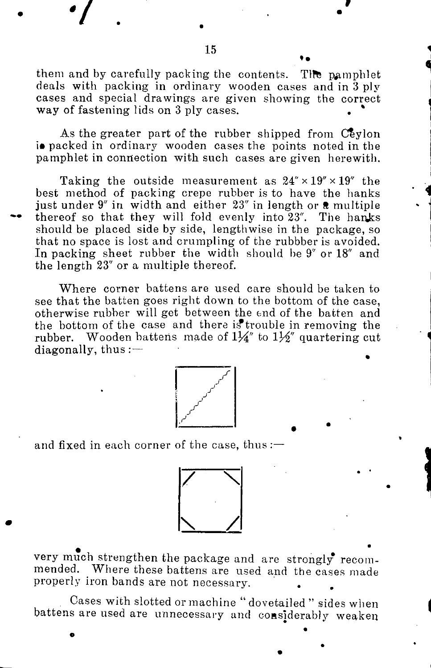them and by carefully packing the contents. The pamphlet **deals with packing in ordinary wooden cases and in 3 ply cases and special drawings are given showing the correct way of fastening lids on 3 ply cases.** 

**As the greater part of the rubber shipped from Ceylon i** packed in ordinary wooden cases the points noted in the **pamphlet in connection with such cases are given herewith.** 

**Taking the outside measurement as 24" x 19" x 19" the best method of packing crepe rubber is to have the hanks**  just under 9" in width and either 23" in length or **a** multiple thereof so that they will fold evenly into 23". The hanks **should be placed side by side, lengthwise in the package, so that no space is lost and crumpling of the rubbber is avoided. In packing sheet rubber the width should be 9" or 18" and the length 23" or a multiple thereof.** 

**Where corner battens are used care should be taken to see that the batten goes right down to the bottom of the case, otherwise rubber will get between the end of the batten and the bottom of the case and there is\*trouble in removing the**  rubber. Wooden battens made of  $1\frac{1}{4}$ " to  $1\frac{1}{2}$ " quartering cut **diagonally, thus:—** 



**and fixed in each corner of the case, thus :—** 



**very much strengthen the package and are strongly recommended. Where these battens are used and the cases made properly iron bands are not necessary.** 

**Cases with slotted or machine " dovetailed " sides when battens are used are unnecessary and considerably weaken** 

**\*/ . . •**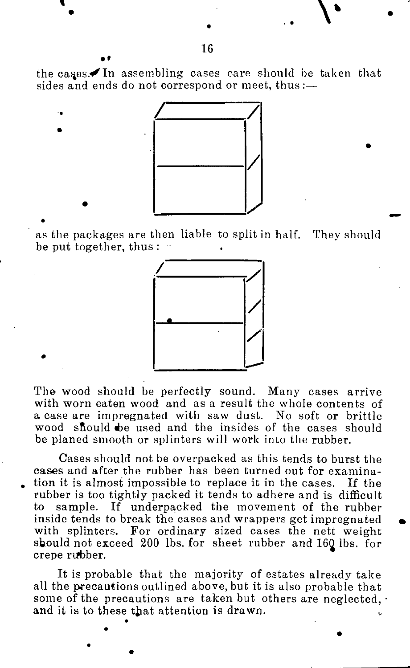the cases.<sup>In</sup> assembling cases care should be taken that **sides and ends do not correspond or meet, thus:—** 



**as the packages are then liable to split in half. They should be put together, thus :—** 



**The wood should be perfectly sound. Many cases arrive with worn eaten wood and as a result the whole contents of a case are impregnated with saw dust. No soft or brittle**  wood should be used and the insides of the cases should **be planed smooth or splinters will work into the rubber.** 

**Cases should not be overpacked as this tends to burst the cases and after the rubber has been turned out for examination it is almost impossible to replace it in the cases. If the rubber is too tightly packed it tends to adhere and is difficult**  to sample. If underpacked the movement of the rubber **inside tends to break the cases and wrappers get impregnated with splinters. For ordinary sized cases the nett weight**  should not exceed 200 lbs. for sheet rubber and 160 lbs. for **crepe rvfbber.** 

**It is probable that the majority of estates already take all the precautions outlined above, but it is also probable that some of the precautions are taken but others are neglected, • and it is to these that attention is drawn.** 

. V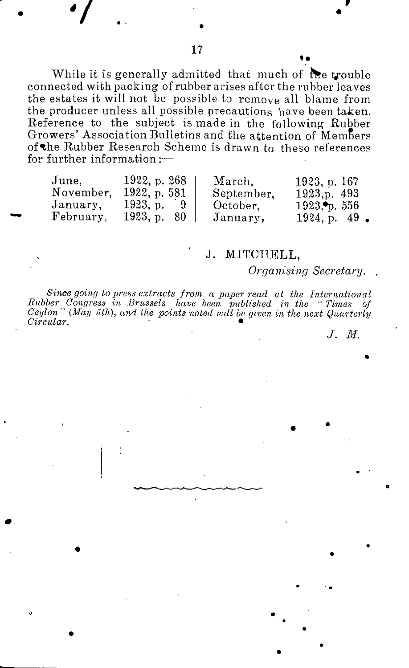**While it is generally admitted that much of the trouble connected with packing of rubber arises after the rubber leaves the estates it will not be possible to remove all blame from the producer unless all possible precautions have been taken. Reference to the subject is made in the following Rubber Growers' Association Bulletins and the attention of MemSers**  of <sup>★</sup>the Rubber Research Scheme is drawn to these references **for further information :—** 

| June,     | 1922, p.268 | March,     | 1923. p. 167    |
|-----------|-------------|------------|-----------------|
| November. | 1922, p.581 | September. | 1923.p. 493     |
| January,  | 1923. p. 9  | October.   | $1923$ o. 556   |
| February. | 1923, p. 80 | January,   | $1924, p. 49$ . |

### **' J. MITCHELL,**

*Organising Secretary.* 

since going to press extracts from a paper read at the International<br>Rubber Congress in Brussels have been published in the "Times of<br>Ceylon" (May 5th), and the points noted will be given in the next Quarterly  $Circular$ .

*J. M.* 

 $\frac{1}{\sqrt{2}}$